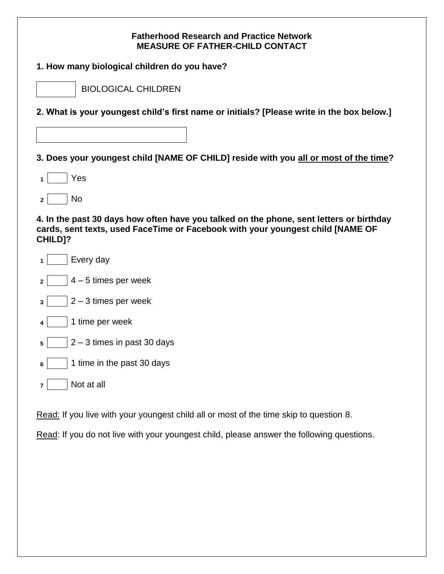## **Fatherhood Research and Practice Network MEASURE OF FATHER-CHILD CONTACT**

| 1. How many biological children do you have? |
|----------------------------------------------|
|----------------------------------------------|

| BIOLOGICAL CHILDREN |  |
|---------------------|--|
|                     |  |

**2. What is your youngest child's first name or initials? [Please write in the box below.]**

**3. Does your youngest child [NAME OF CHILD] reside with you all or most of the time?**

- **<sup>1</sup>** Yes
- **<sup>2</sup>** No

**4. In the past 30 days how often have you talked on the phone, sent letters or birthday cards, sent texts, used FaceTime or Facebook with your youngest child [NAME OF CHILD]?**

- **<sup>1</sup>** Every day
- $2 \mid 4 5$  times per week
- **<sup>3</sup>** 2 3 times per week
- **<sup>4</sup>** 1 time per week
- $\mathsf{s}$  | 2 3 times in past 30 days
- **<sup>6</sup>** 1 time in the past 30 days
- **<sup>7</sup>** Not at all

Read: If you live with your youngest child all or most of the time skip to question 8.

Read: If you do not live with your youngest child, please answer the following questions.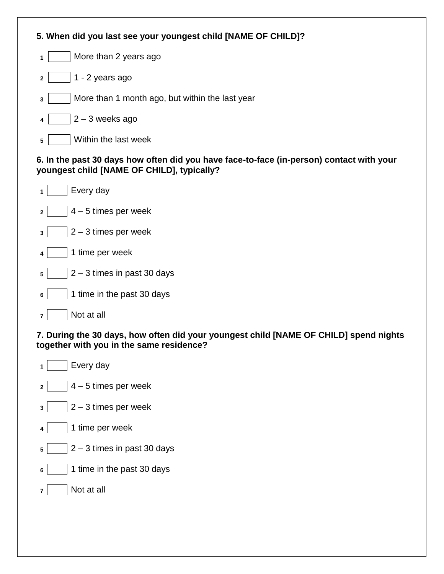| 5. When did you last see your youngest child [NAME OF CHILD]? |
|---------------------------------------------------------------|
| More than 2 years ago<br>1                                    |
| 1 - 2 years ago<br>$\mathbf{2}$                               |
| More than 1 month ago, but within the last year<br>3          |
| $2 - 3$ weeks ago<br>4                                        |
| Within the last week<br>5                                     |

### **6. In the past 30 days how often did you have face-to-face (in-person) contact with your youngest child [NAME OF CHILD], typically?**

| 1   Every day                                 |
|-----------------------------------------------|
| $2 \mid 4 - 5$ times per week                 |
| $ 2 - 3$ times per week<br>$3 \mid$           |
| 4   1 time per week                           |
| $\vert 5 \vert$   2 – 3 times in past 30 days |
| 1 time in the past 30 days<br>6               |

# **7. During the 30 days, how often did your youngest child [NAME OF CHILD] spend nights together with you in the same residence?**

**<sup>1</sup>** Every day  $2 \mid 4 - 5$  times per week  $\overline{\mathbf{3}}$  | 2 – 3 times per week **<sup>4</sup>** 1 time per week  $\sqrt{5}$  2 – 3 times in past 30 days **6** 1 time in the past 30 days **<sup>7</sup>** Not at all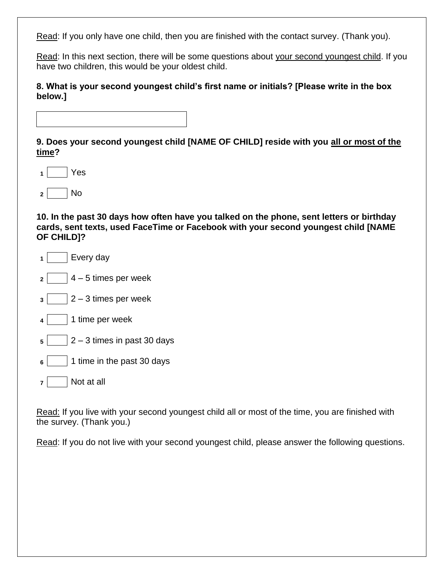Read: If you only have one child, then you are finished with the contact survey. (Thank you).

Read: In this next section, there will be some questions about your second youngest child. If you have two children, this would be your oldest child.

**8. What is your second youngest child's first name or initials? [Please write in the box below.]**

**9. Does your second youngest child [NAME OF CHILD] reside with you all or most of the time?**

- **<sup>1</sup>** Yes
- **<sup>2</sup>** No

**10. In the past 30 days how often have you talked on the phone, sent letters or birthday cards, sent texts, used FaceTime or Facebook with your second youngest child [NAME OF CHILD]?**

- **<sup>1</sup>** Every day
- **<sup>2</sup>** 4 5 times per week
- $3 \mid 2 3$  times per week
- **<sup>4</sup>** 1 time per week
- $\mathsf{s}$  |  $\mathsf{l}$  2 3 times in past 30 days
- **<sup>6</sup>** 1 time in the past 30 days
- **<sup>7</sup>** Not at all

Read: If you live with your second youngest child all or most of the time, you are finished with the survey. (Thank you.)

Read: If you do not live with your second youngest child, please answer the following questions.